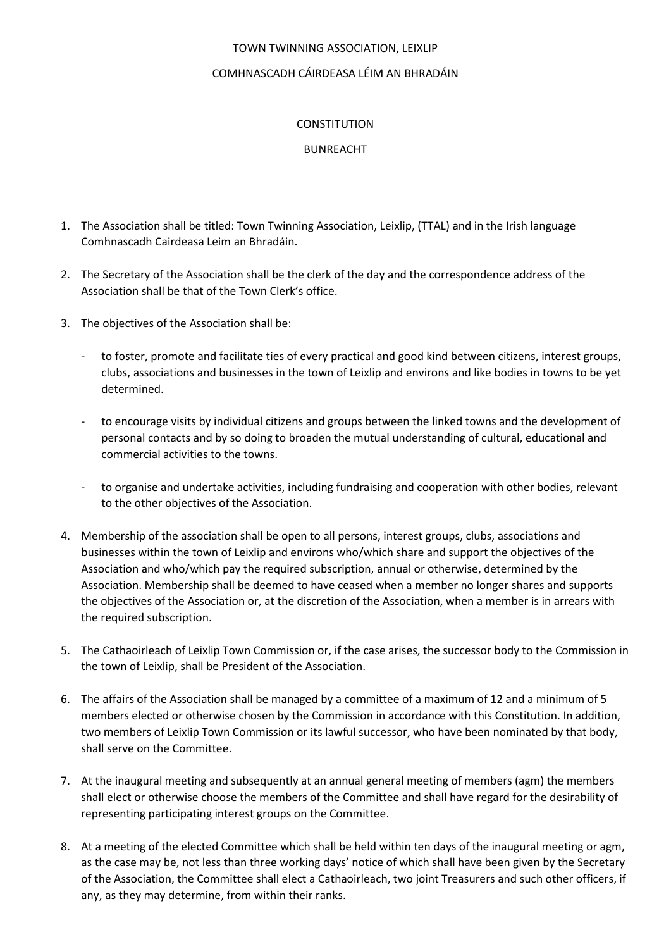## TOWN TWINNING ASSOCIATION, LEIXLIP

## COMHNASCADH CÁIRDEASA LÉIM AN BHRADÁIN

## CONSTITUTION

## BUNREACHT

- 1. The Association shall be titled: Town Twinning Association, Leixlip, (TTAL) and in the Irish language Comhnascadh Cairdeasa Leim an Bhradáin.
- 2. The Secretary of the Association shall be the clerk of the day and the correspondence address of the Association shall be that of the Town Clerk's office.
- 3. The objectives of the Association shall be:
	- to foster, promote and facilitate ties of every practical and good kind between citizens, interest groups, clubs, associations and businesses in the town of Leixlip and environs and like bodies in towns to be yet determined.
	- to encourage visits by individual citizens and groups between the linked towns and the development of personal contacts and by so doing to broaden the mutual understanding of cultural, educational and commercial activities to the towns.
	- to organise and undertake activities, including fundraising and cooperation with other bodies, relevant to the other objectives of the Association.
- 4. Membership of the association shall be open to all persons, interest groups, clubs, associations and businesses within the town of Leixlip and environs who/which share and support the objectives of the Association and who/which pay the required subscription, annual or otherwise, determined by the Association. Membership shall be deemed to have ceased when a member no longer shares and supports the objectives of the Association or, at the discretion of the Association, when a member is in arrears with the required subscription.
- 5. The Cathaoirleach of Leixlip Town Commission or, if the case arises, the successor body to the Commission in the town of Leixlip, shall be President of the Association.
- 6. The affairs of the Association shall be managed by a committee of a maximum of 12 and a minimum of 5 members elected or otherwise chosen by the Commission in accordance with this Constitution. In addition, two members of Leixlip Town Commission or its lawful successor, who have been nominated by that body, shall serve on the Committee.
- 7. At the inaugural meeting and subsequently at an annual general meeting of members (agm) the members shall elect or otherwise choose the members of the Committee and shall have regard for the desirability of representing participating interest groups on the Committee.
- 8. At a meeting of the elected Committee which shall be held within ten days of the inaugural meeting or agm, as the case may be, not less than three working days' notice of which shall have been given by the Secretary of the Association, the Committee shall elect a Cathaoirleach, two joint Treasurers and such other officers, if any, as they may determine, from within their ranks.